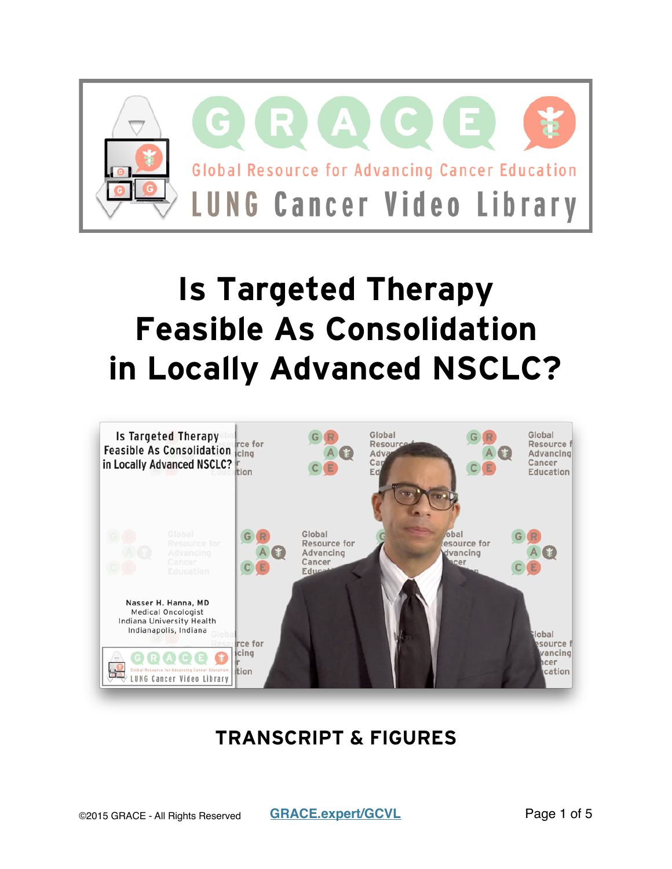

# **Is Targeted Therapy Feasible As Consolidation in Locally Advanced NSCLC?**



### **TRANSCRIPT & FIGURES**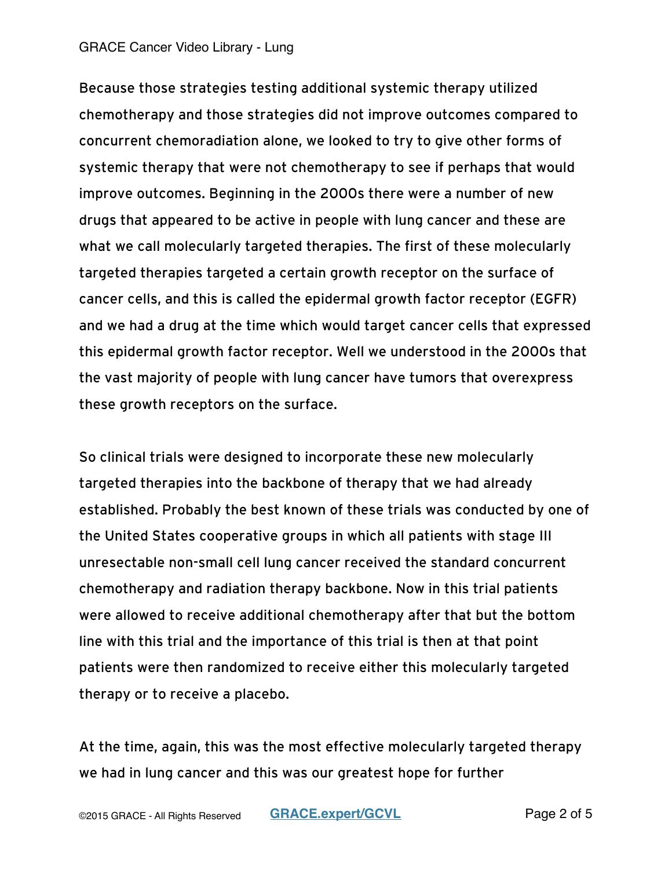#### GRACE Cancer Video Library - Lung

Because those strategies testing additional systemic therapy utilized chemotherapy and those strategies did not improve outcomes compared to concurrent chemoradiation alone, we looked to try to give other forms of systemic therapy that were not chemotherapy to see if perhaps that would improve outcomes. Beginning in the 2000s there were a number of new drugs that appeared to be active in people with lung cancer and these are what we call molecularly targeted therapies. The first of these molecularly targeted therapies targeted a certain growth receptor on the surface of cancer cells, and this is called the epidermal growth factor receptor (EGFR) and we had a drug at the time which would target cancer cells that expressed this epidermal growth factor receptor. Well we understood in the 2000s that the vast majority of people with lung cancer have tumors that overexpress these growth receptors on the surface.

So clinical trials were designed to incorporate these new molecularly targeted therapies into the backbone of therapy that we had already established. Probably the best known of these trials was conducted by one of the United States cooperative groups in which all patients with stage III unresectable non-small cell lung cancer received the standard concurrent chemotherapy and radiation therapy backbone. Now in this trial patients were allowed to receive additional chemotherapy after that but the bottom line with this trial and the importance of this trial is then at that point patients were then randomized to receive either this molecularly targeted therapy or to receive a placebo.

At the time, again, this was the most effective molecularly targeted therapy we had in lung cancer and this was our greatest hope for further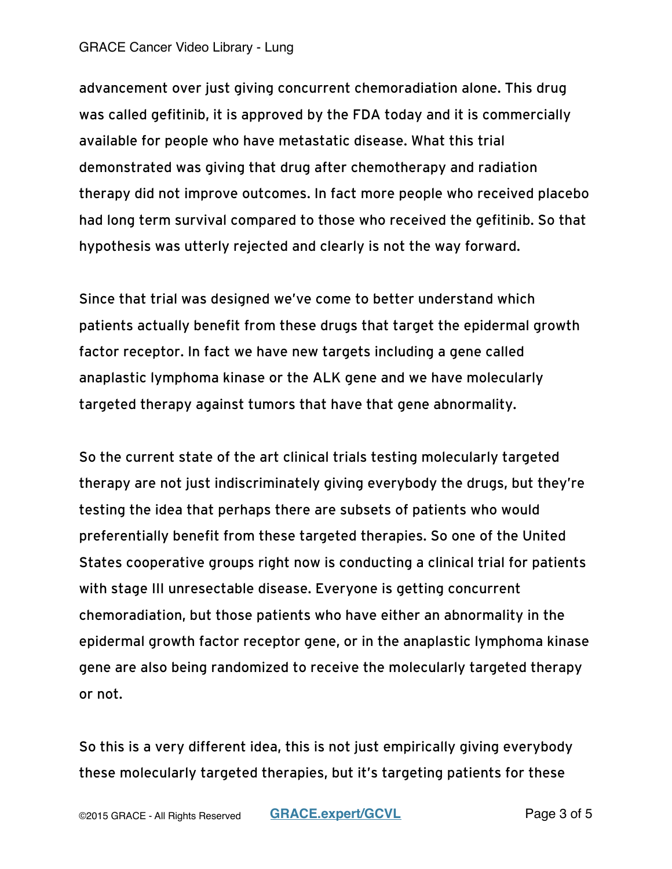#### GRACE Cancer Video Library - Lung

advancement over just giving concurrent chemoradiation alone. This drug was called gefitinib, it is approved by the FDA today and it is commercially available for people who have metastatic disease. What this trial demonstrated was giving that drug after chemotherapy and radiation therapy did not improve outcomes. In fact more people who received placebo had long term survival compared to those who received the gefitinib. So that hypothesis was utterly rejected and clearly is not the way forward.

Since that trial was designed we've come to better understand which patients actually benefit from these drugs that target the epidermal growth factor receptor. In fact we have new targets including a gene called anaplastic lymphoma kinase or the ALK gene and we have molecularly targeted therapy against tumors that have that gene abnormality.

So the current state of the art clinical trials testing molecularly targeted therapy are not just indiscriminately giving everybody the drugs, but they're testing the idea that perhaps there are subsets of patients who would preferentially benefit from these targeted therapies. So one of the United States cooperative groups right now is conducting a clinical trial for patients with stage III unresectable disease. Everyone is getting concurrent chemoradiation, but those patients who have either an abnormality in the epidermal growth factor receptor gene, or in the anaplastic lymphoma kinase gene are also being randomized to receive the molecularly targeted therapy or not.

So this is a very different idea, this is not just empirically giving everybody these molecularly targeted therapies, but it's targeting patients for these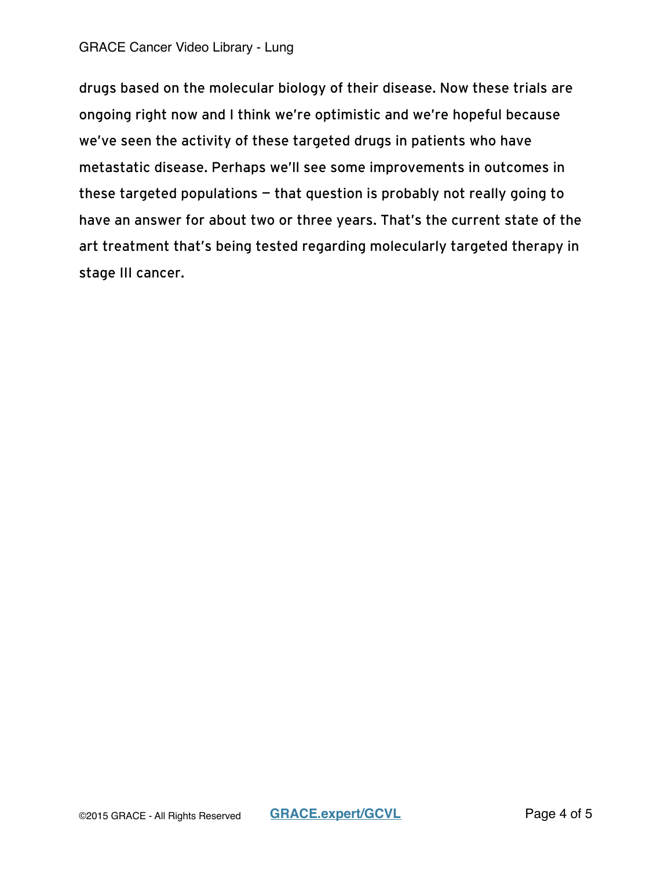#### GRACE Cancer Video Library - Lung

drugs based on the molecular biology of their disease. Now these trials are ongoing right now and I think we're optimistic and we're hopeful because we've seen the activity of these targeted drugs in patients who have metastatic disease. Perhaps we'll see some improvements in outcomes in these targeted populations — that question is probably not really going to have an answer for about two or three years. That's the current state of the art treatment that's being tested regarding molecularly targeted therapy in stage III cancer.